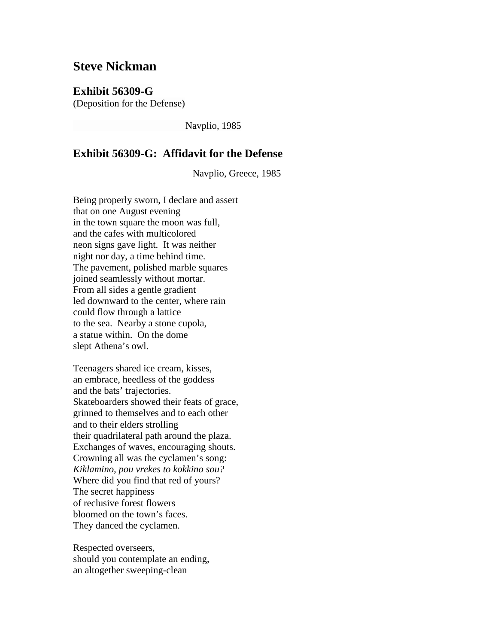## **Steve Nickman**

## **Exhibit 56309-G**

(Deposition for the Defense)

Navplio, 1985

## **Exhibit 56309-G: Affidavit for the Defense**

Navplio, Greece, 1985

Being properly sworn, I declare and assert that on one August evening in the town square the moon was full, and the cafes with multicolored neon signs gave light. It was neither night nor day, a time behind time. The pavement, polished marble squares joined seamlessly without mortar. From all sides a gentle gradient led downward to the center, where rain could flow through a lattice to the sea. Nearby a stone cupola, a statue within. On the dome slept Athena's owl.

Teenagers shared ice cream, kisses, an embrace, heedless of the goddess and the bats' trajectories. Skateboarders showed their feats of grace, grinned to themselves and to each other and to their elders strolling their quadrilateral path around the plaza. Exchanges of waves, encouraging shouts. Crowning all was the cyclamen's song: *Kiklamino, pou vrekes to kokkino sou?* Where did you find that red of yours? The secret happiness of reclusive forest flowers bloomed on the town's faces. They danced the cyclamen.

Respected overseers, should you contemplate an ending, an altogether sweeping-clean